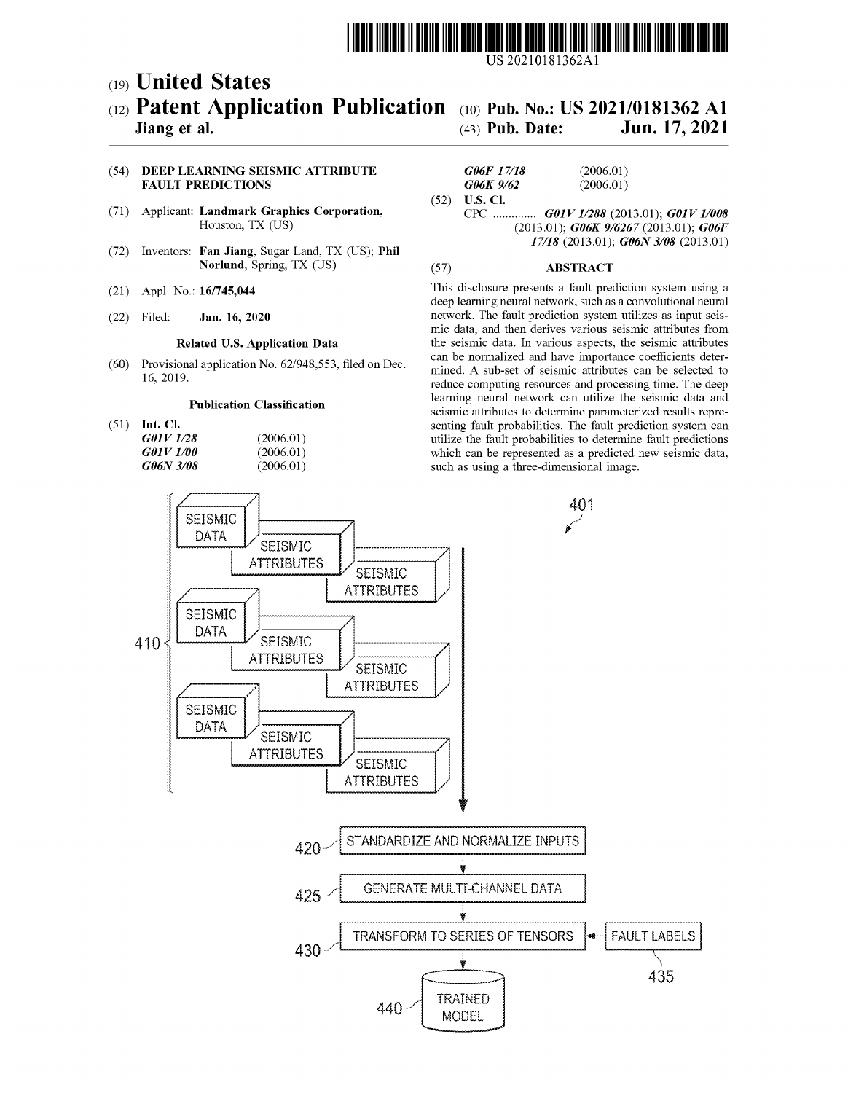

US 20210181362A1

# (19) United States  $(12)$  Patent Application Publication  $(10)$  Pub. No.: US 2021/0181362 A1 <sup>(19)</sup> United States<br>
(12) Patent Application Publicati<br>
Jiang et al.

Jiang et al. (43) Pub. Date: Jun. 17, 2021

# (54) DEEP LEARNING SEISMIC ATTRIBUTE **GO6F** 17/18 **FAULT PREDICTIONS**

- (71) Applicant: Landmark Graphics Corporation,  $\overline{CP}$  CPC Houston, TX (US)
- (72) Inventors: Fan Jiang, Sugar Land, TX (US); Phil Norlund, Spring, TX (US) (57)
- (21) Appl. No.: 16/745,044
- (22) Filed:

## Related U.S. Application Data

(60) Provisional application No. 62/948,553, filed on Dec. 16, 2019.

### Publication Classification

(51) Int. Cl.

| G01V 1/28               | (2006.01) |
|-------------------------|-----------|
| <i><b>GO1V 1/00</b></i> | (2006.01) |
| G06N 3/08               | (2006.01) |

| <i>G06F 17/18</i>      | (2006.01)          |
|------------------------|--------------------|
| G06K 9/62              | (2006.01)          |
| $(52)$ <b>U.S. Cl.</b> |                    |
| $\sqrt{2}$             | C1011711/000/00100 |

GDIV 1/288 (2013.01); G01V 1/008 (2013.01); G06K 9/6267 (2013.01); G06F 17/18 (2013.01); G06N 3/08 (2013.01)

### ABSTRACT

This disclosure presents a fault prediction system using a deep learning neural network, such as a convolutional neural Jan. 16, 2020 network. The fault prediction system utilizes as input seismic data, and then derives various seismic attributes from the seismic data. In various aspects, the seismic attributes can be normalized and have importance coefficients determined. A sub-set of seismic attributes can be selected to reduce computing resources and processing time. The deep learning neural network can utilize the seismic data and seismic attributes to determine parameterized results representing fault probabilities. The fault prediction system can utilize the fault probabilities to determine fault predictions which can be represented as a predicted new seismic data, such as using a three-dimensional image.

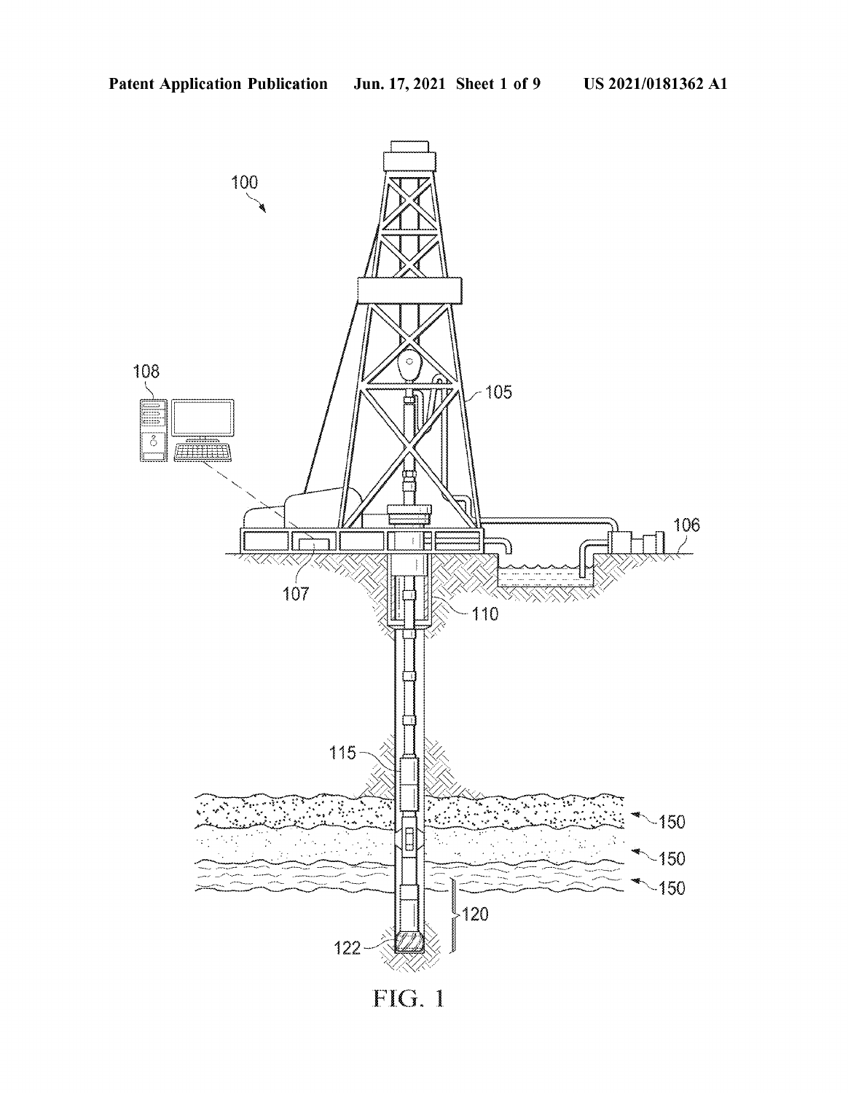

FIG. 1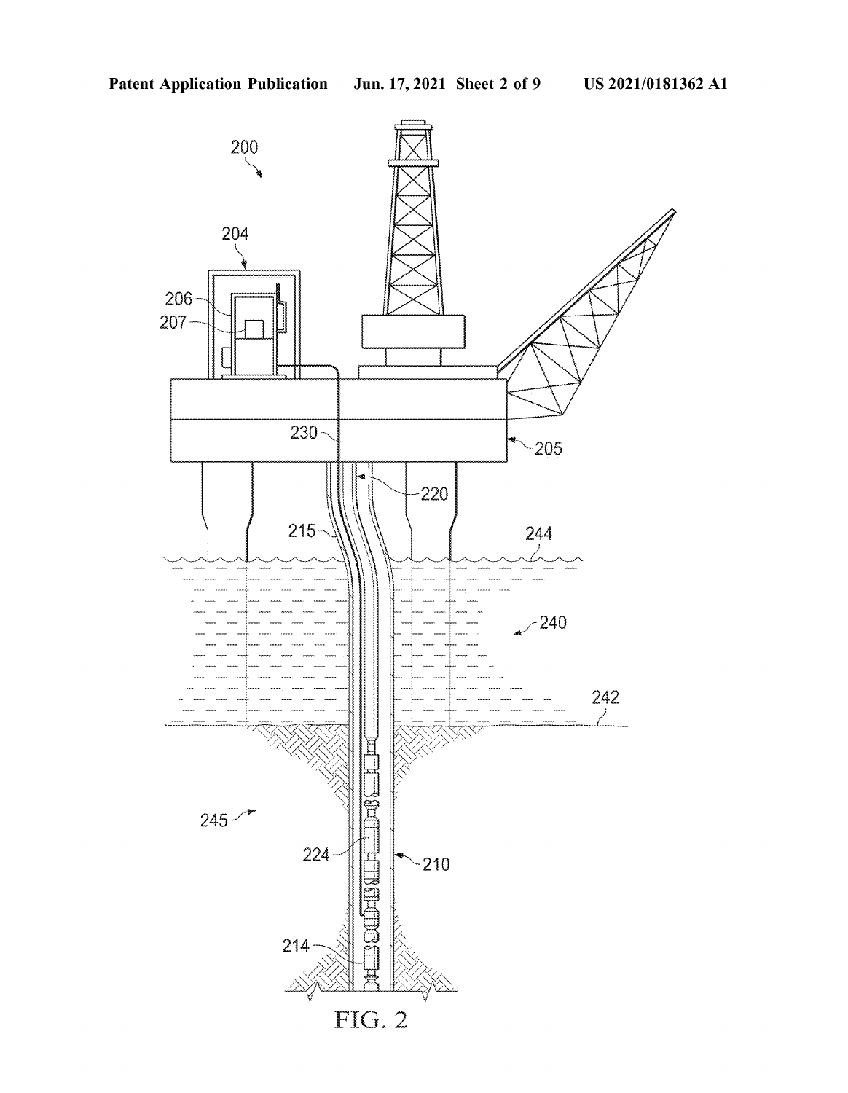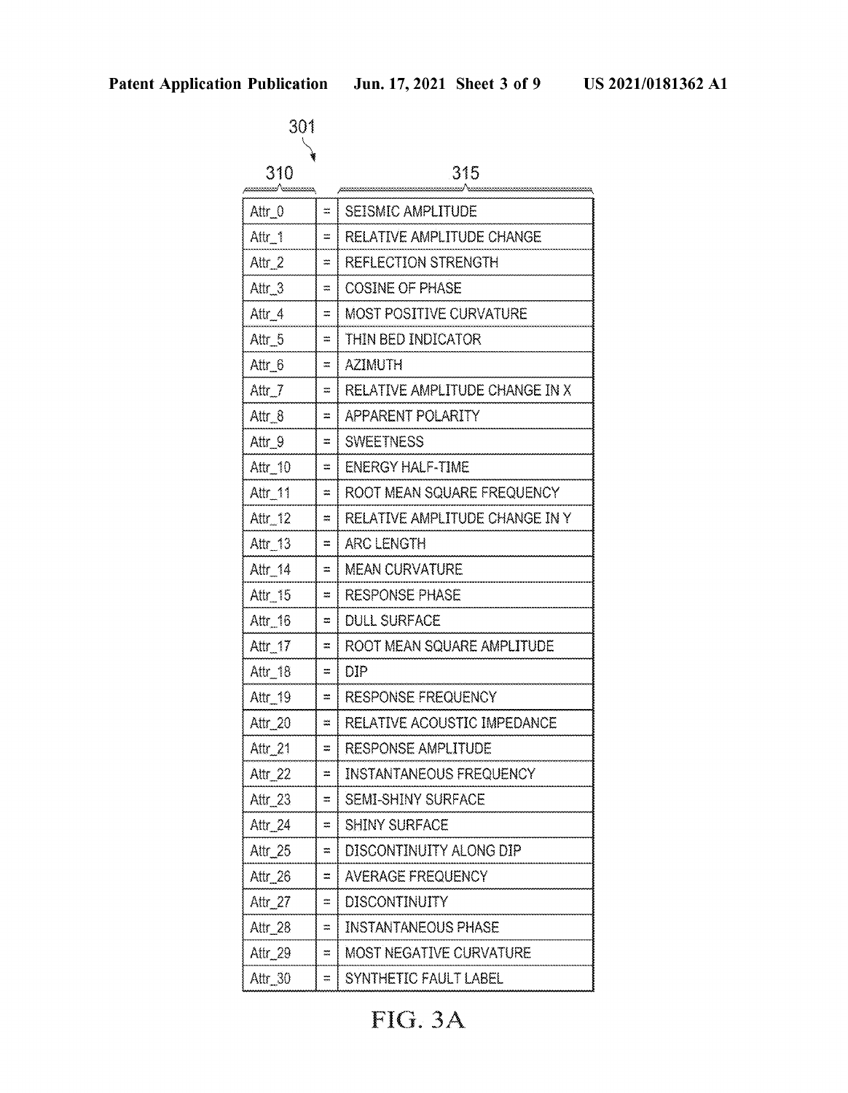| n Publication<br>301 |               | Jun. 17, 2021 Sheet 3 of 9     | Ū |  |
|----------------------|---------------|--------------------------------|---|--|
| 310                  |               | 315                            |   |  |
| Attr_0               | Ξ.            | SEISMIC AMPLITUDE              |   |  |
|                      |               |                                |   |  |
| Attr_1               | ÷             | RELATIVE AMPLITUDE CHANGE      |   |  |
| Attr $2$             | Ħ             | <b>REFLECTION STRENGTH</b>     |   |  |
| Attr_3               | ಮ             | <b>COSINE OF PHASE</b>         |   |  |
| Attr_4               | Ξ             | <b>MOST POSITIVE CURVATURE</b> |   |  |
| Attr_5               | m             | THIN BED INDICATOR             |   |  |
| Attr 6               | ≍             | <b>AZIMUTH</b>                 |   |  |
| Attr_7               | х.            | RELATIVE AMPLITUDE CHANGE IN X |   |  |
| Attr_8               | ÷             | APPARENT POLARITY              |   |  |
| Attr_9               | $=$           | <b>SWEETNESS</b>               |   |  |
| Attr 10              | ≕             | ENERGY HALF-TIME               |   |  |
| Attr_11              | ≈ ∣           | ROOT MEAN SQUARE FREQUENCY     |   |  |
| Attr_12              | ≈ ¦           | RELATIVE AMPLITUDE CHANGE IN Y |   |  |
| Attr_13              | = {           | ARC LENGTH                     |   |  |
| Attr_14              | = 1           | <b>MEAN CURVATURE</b>          |   |  |
| Attr_15              | ≈∣            | <b>RESPONSE PHASE</b>          |   |  |
| Attr $-16$           | ÷,            | <b>DULL SURFACE</b>            |   |  |
| Attr_17              | $\approx$     | ROOT MEAN SQUARE AMPLITUDE     |   |  |
| Attr_18              | Ξ             | DIP                            |   |  |
| Attr_19              | W             | <b>RESPONSE FREQUENCY</b>      |   |  |
|                      |               |                                |   |  |
| Attr_20              | m             | RELATIVE ACOUSTIC IMPEDANCE    |   |  |
| Attr_21              | ≖.            | RESPONSE AMPLITUDE             |   |  |
| Attr_22              | = 1           | <b>INSTANTANEOUS FREQUENCY</b> |   |  |
| Attr_23              | ≈ ।           | SEMI-SHINY SURFACE             |   |  |
| Attr_24              | ದ ∤           | <b>SHINY SURFACE</b>           |   |  |
| Attr_25              | ≍             | DISCONTINUITY ALONG DIP        |   |  |
| Attr_26              | ≈             | <b>AVERAGE FREQUENCY</b>       |   |  |
| Attr_27              | ≕             | <b>DISCONTINUITY</b>           |   |  |
| Attr_28              | m.            | <b>INSTANTANEOUS PHASE</b>     |   |  |
| Attr_29              | æ.            | MOST NEGATIVE CURVATURE        |   |  |
| Attr 30              | $\frac{1}{2}$ | SYNTHETIC FAULT LABEL          |   |  |

# FIG. 3A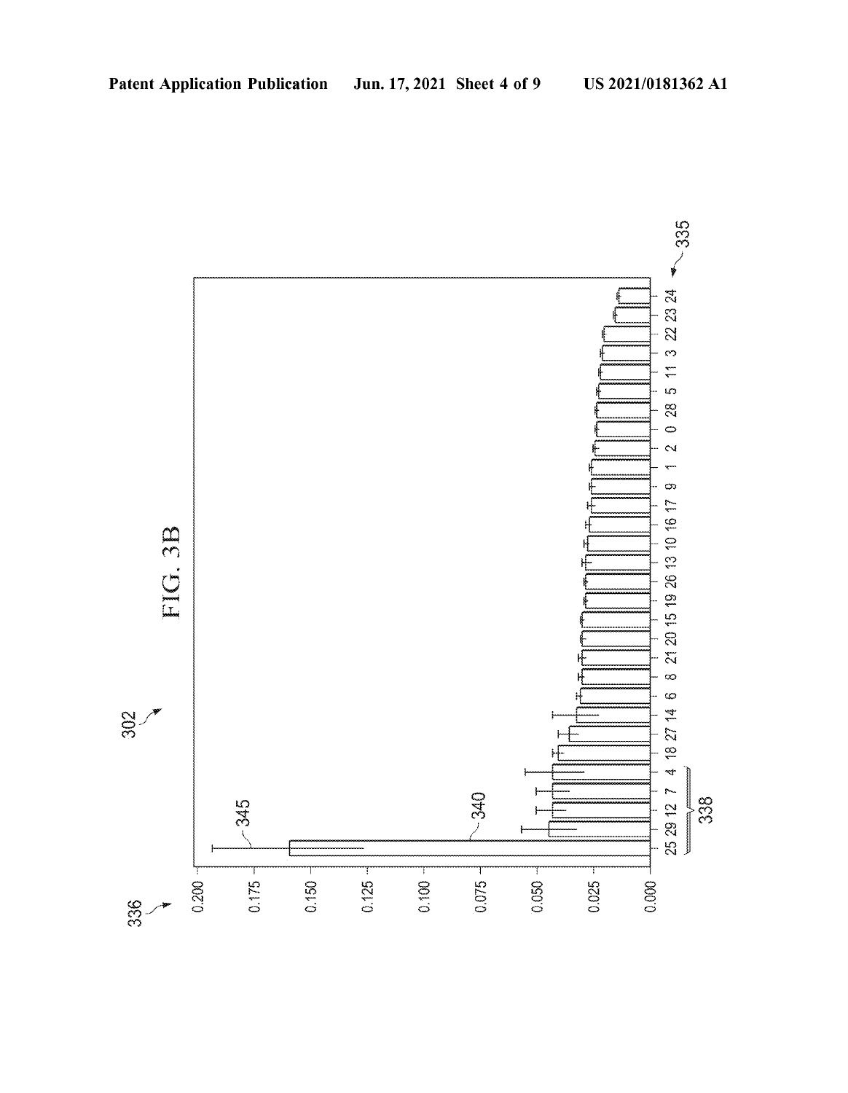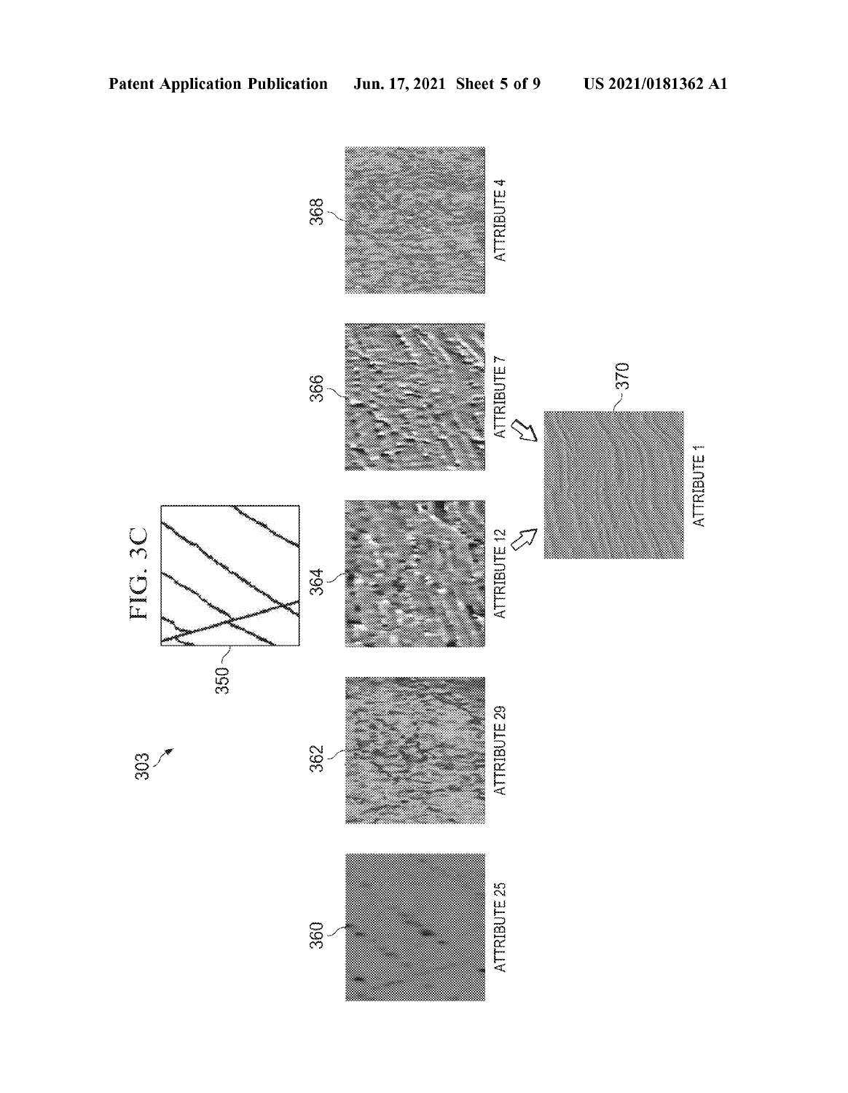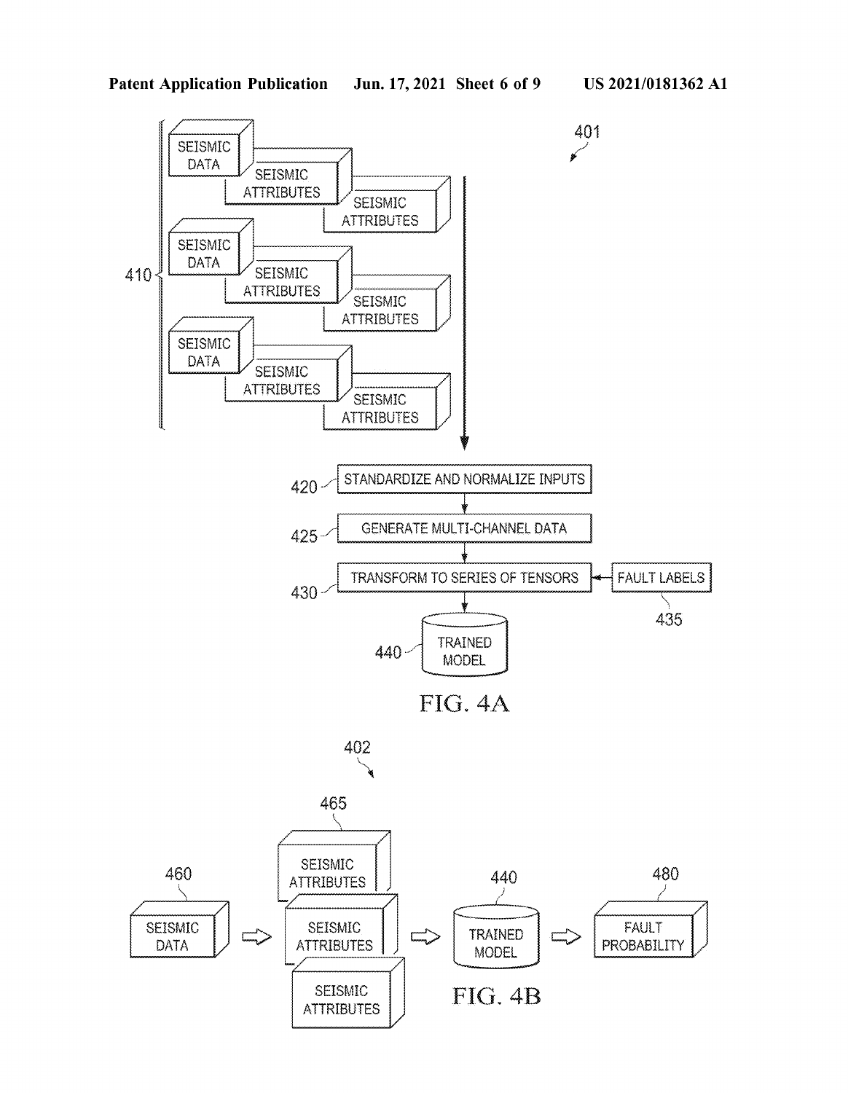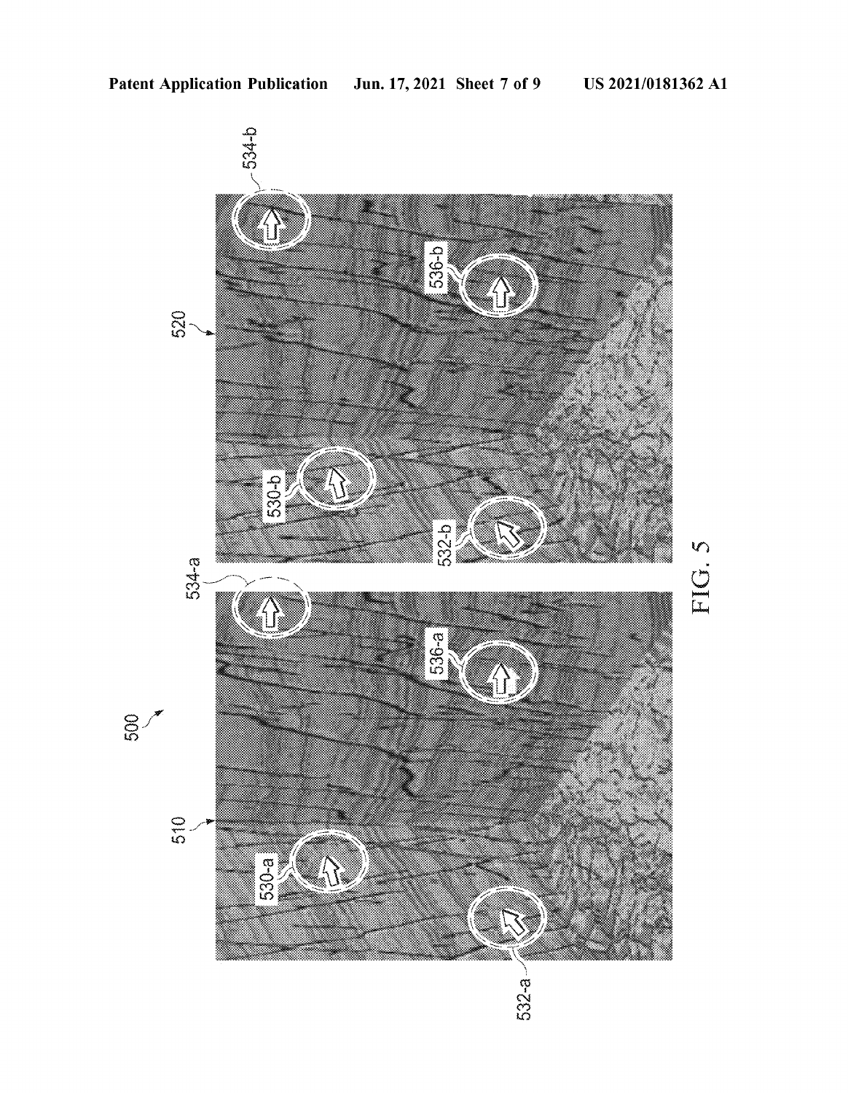

FIG. 5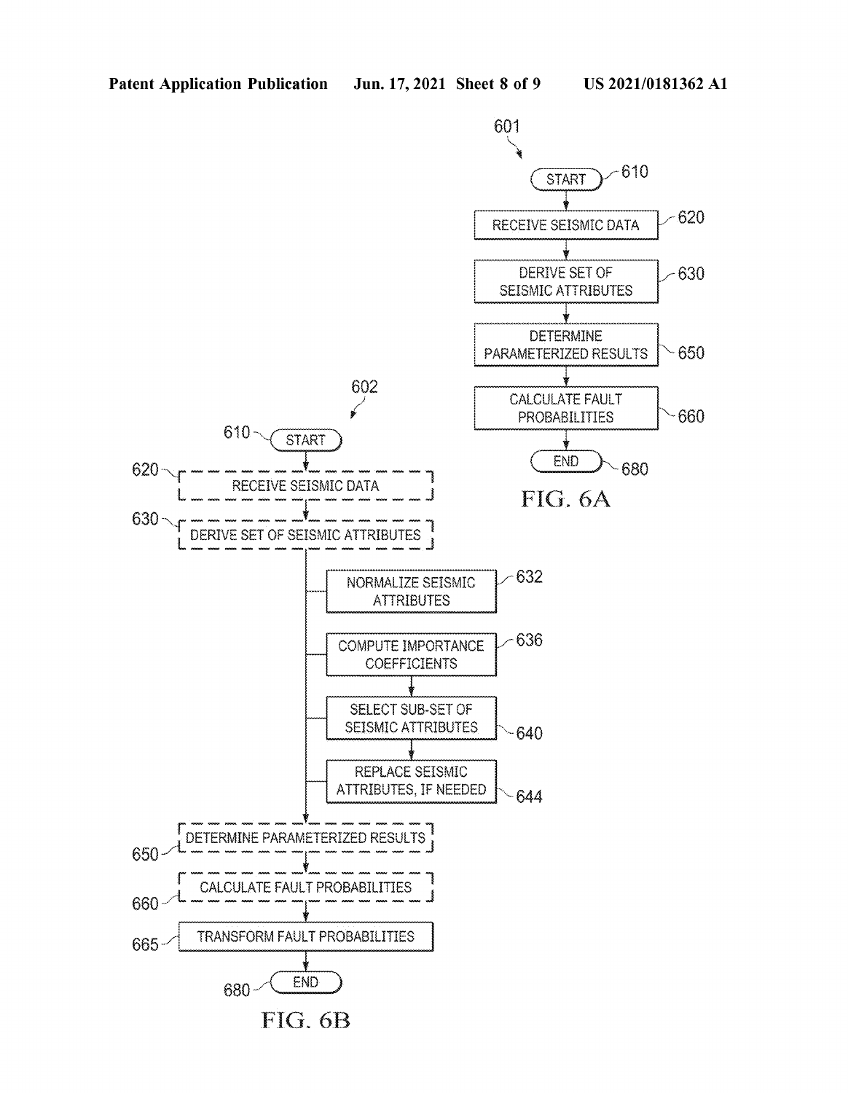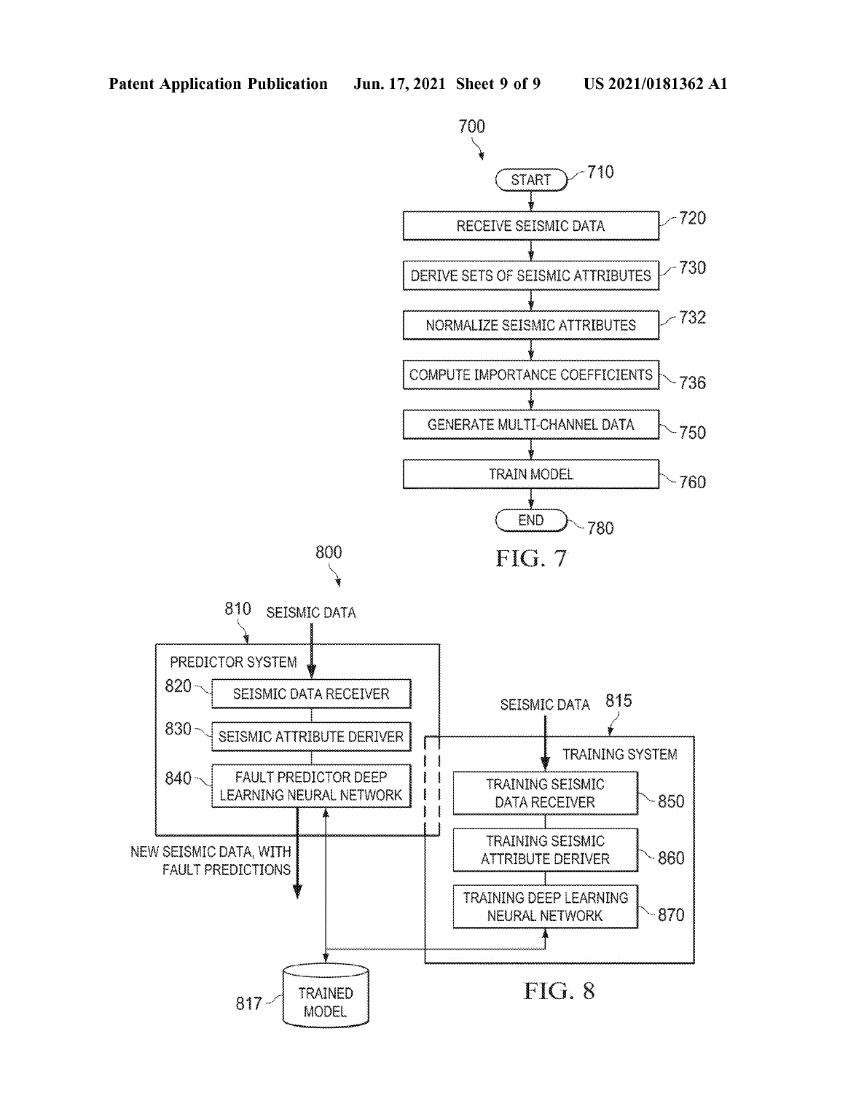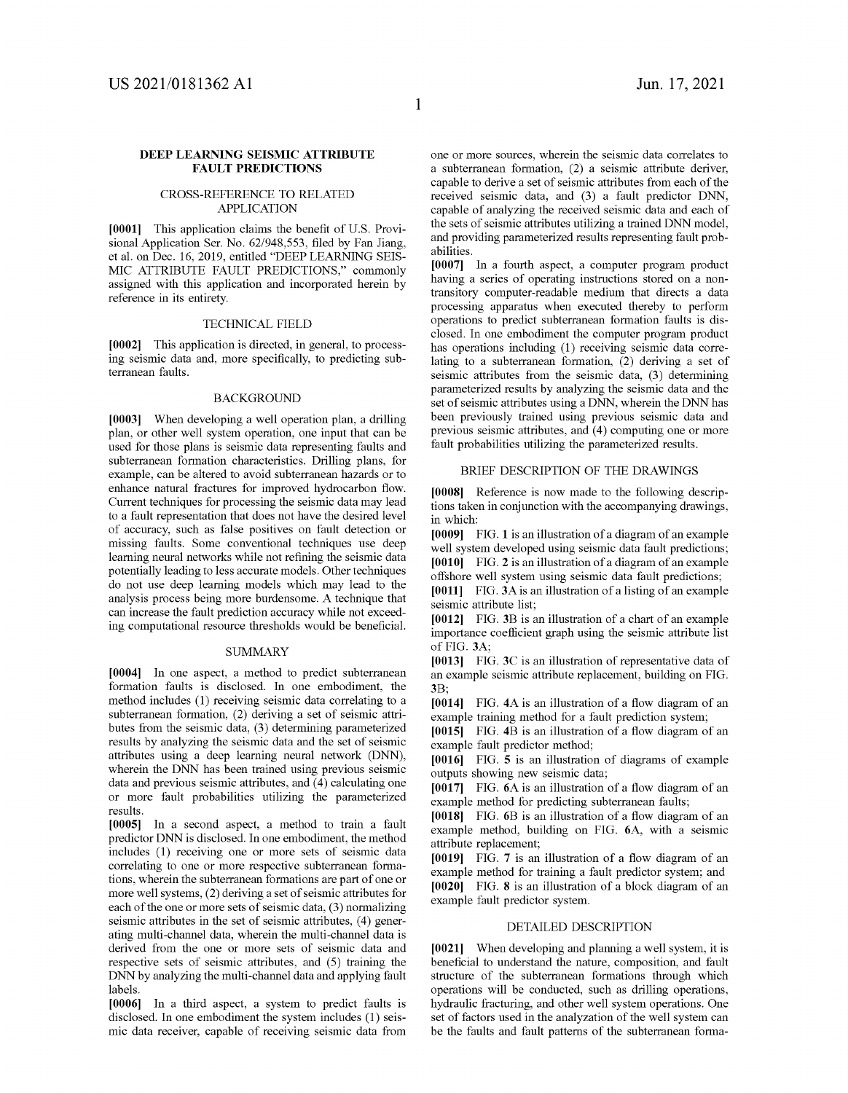### DEEP LEARNING SEISMIC ATTRIBUTE FAULT PREDICTIONS

### CROSS-REFERENCE TO RELATED APPLICATION

[0001] This application claims the benefit of U.S. Provisional Application Ser. No. 62/948,553, filed by Fan Jiang, et al. on Dec. 16, 2019, entitled "DEEP LEARNING SEIS-MIC ATTRIBUTE FAULT PREDICTIONS," commonly assigned with this application and incorporated herein by reference in its entirety.

### TECHNICAL FIELD

[0002] This application is directed, in general, to processing seismic data and, more specifically, to predicting subterranean faults.

### BACKGROUND

[0003] When developing a well operation plan, a drilling plan, or other well system operation, one input that can be used for those plans is seismic data representing faults and subterranean formation characteristics. Drilling plans, for example, can be altered to avoid subterranean hazards or to enhance natural fractures for improved hydrocarbon flow. Current techniques for processing the seismic data may lead to a fault representation that does not have the desired level of accuracy, such as false positives on fault detection or missing faults. Some conventional techniques use deep learning neural networks while not refining the seismic data potentially leading to less accurate models. Other techniques do not use deep learning models which may lead to the analysis process being more burdensome. A technique that can increase the fault prediction accuracy while not exceeding computational resource thresholds would be beneficial.

### **SUMMARY**

[0004] In one aspect, a method to predict subterranean formation faults is disclosed. In one embodiment, the method includes (1) receiving seismic data correlating to a subterranean formation, (2) deriving a set of seismic attributes from the seismic data, (3) determining parameterized results by analyzing the seismic data and the set of seismic attributes using a deep learning neural network (DNN), wherein the DNN has been trained using previous seismic data and previous seismic attributes, and (4) calculating one or more fault probabilities utilizing the parameterized results.

[0005] In a second aspect, a method to train a fault predictor DNN is disclosed. In one embodiment, the method includes (1) receiving one or more sets of seismic data correlating to one or more respective subterranean formations, wherein the subterranean formations are part of one or more well systems, (2) deriving a set of seismic attributes for each of the one or more sets of seismic data, (3) normalizing seismic attributes in the set of seismic attributes, (4) generating multi-channel data, wherein the multi-channel data is derived from the one or more sets of seismic data and respective sets of seismic attributes, and (5) training the DNN by analyzing the multi-channel data and applying fault labels.

[0006] In a third aspect, a system to predict faults is disclosed. In one embodiment the system includes (1) seismic data receiver, capable of receiving seismic data from one or more sources, wherein the seismic data correlates to a subterranean formation, (2) a seismic attribute deriver, capable to derive a set of seismic attributes from each of the received seismic data, and (3) a fault predictor DNN, capable of analyzing the received seismic data and each of the sets of seismic attributes utilizing a trained DNN model, and providing parameterized results representing fault probabilities.

[0007] In a fourth aspect, a computer program product having a series of operating instructions stored on a nontransitory computer-readable medium that directs a data processing apparatus when executed thereby to perform operations to predict subterranean formation faults is disclosed. In one embodiment the computer program product has operations including (1) receiving seismic data correlating to a subterranean formation, (2) deriving a set of seismic attributes from the seismic data, (3) determining parameterized results by analyzing the seismic data and the set of seismic attributes using a DNN, wherein the DNN has been previously trained using previous seismic data and previous seismic attributes, and (4) computing one or more fault probabilities utilizing the parameterized results.

### BRIEF DESCRIPTION OF THE DRAWINGS

[0008] Reference is now made to the following descriptions taken in conjunction with the accompanying drawings, in which:

[0009] FIG. 1 is an illustration of a diagram of an example well system developed using seismic data fault predictions; [0010] FIG. 2 is an illustration of a diagram of an example offshore well system using seismic data fault predictions;

[0011] FIG. 3A is an illustration of a listing of an example seismic attribute list;

[0012] FIG. 3B is an illustration of a chart of an example importance coefficient graph using the seismic attribute list of FIG. 3A;

[0013] FIG. 3C is an illustration of representative data of an example seismic attribute replacement, building on FIG. 3B;

[0014] FIG. 4A is an illustration of a flow diagram of an example training method for a fault prediction system;

[0015] FIG. 4B is an illustration of a flow diagram of an example fault predictor method;

[0016] FIG. 5 is an illustration of diagrams of example outputs showing new seismic data;

[0017] FIG. 6A is an illustration of a flow diagram of an example method for predicting subterranean faults;

[0018] FIG. 6B is an illustration of a flow diagram of an example method, building on FIG. 6A, with a seismic attribute replacement;

[0019] FIG. 7 is an illustration of a flow diagram of an example method for training a fault predictor system; and [0020] FIG. 8 is an illustration of a block diagram of an example fault predictor system.

### DETAILED DESCRIPTION

[0021] When developing and planning a well system, it is beneficial to understand the nature, composition, and fault structure of the subterranean formations through which operations will be conducted, such as drilling operations, hydraulic fracturing, and other well system operations. One set of factors used in the analyzation of the well system can be the faults and fault patterns of the subterranean forma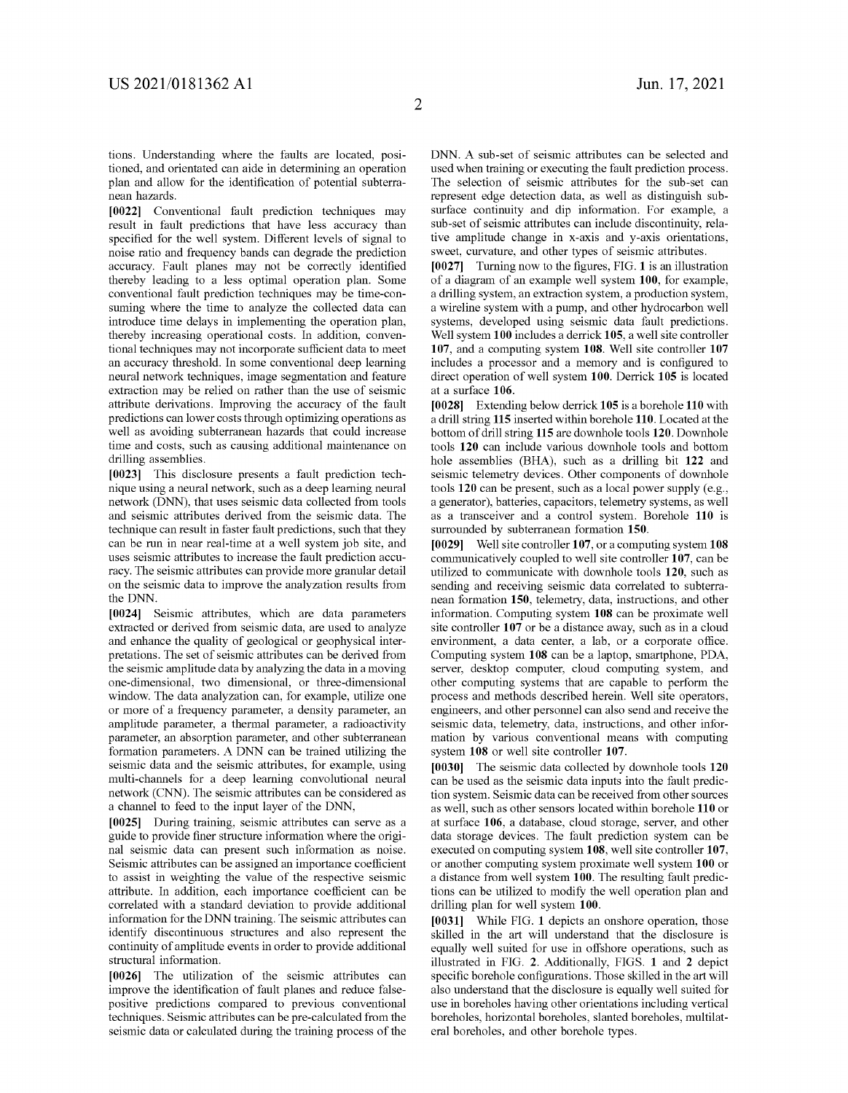tions. Understanding where the faults are located, positioned, and orientated can aide in determining an operation plan and allow for the identification of potential subterranean hazards.

[0022] Conventional fault prediction techniques may result in fault predictions that have less accuracy than specified for the well system. Different levels of signal to noise ratio and frequency bands can degrade the prediction accuracy. Fault planes may not be correctly identified thereby leading to a less optimal operation plan. Some conventional fault prediction techniques may be time-consuming where the time to analyze the collected data can introduce time delays in implementing the operation plan, thereby increasing operational costs. In addition, conventional techniques may not incorporate sufficient data to meet an accuracy threshold. In some conventional deep learning neural network techniques, image segmentation and feature extraction may be relied on rather than the use of seismic attribute derivations. Improving the accuracy of the fault predictions can lower costs through optimizing operations as well as avoiding subterranean hazards that could increase time and costs, such as causing additional maintenance on drilling assemblies.

[0023] This disclosure presents a fault prediction technique using a neural network, such as a deep learning neural network (DNN), that uses seismic data collected from tools and seismic attributes derived from the seismic data. The technique can result in faster fault predictions, such that they can be run in near real-time at a well system job site, and uses seismic attributes to increase the fault prediction accuracy. The seismic attributes can provide more granular detail on the seismic data to improve the analyzation results from the DNN.

[0024] Seismic attributes, which are data parameters extracted or derived from seismic data, are used to analyze and enhance the quality of geological or geophysical interpretations. The set of seismic attributes can be derived from the seismic amplitude data by analyzing the data in a moving one-dimensional, two dimensional, or three-dimensional window. The data analyzation can, for example, utilize one or more of a frequency parameter, a density parameter, an amplitude parameter, a thermal parameter, a radioactivity parameter, an absorption parameter, and other subterranean formation parameters. A DNN can be trained utilizing the seismic data and the seismic attributes, for example, using multi-channels for a deep learning convolutional neural network (CNN). The seismic attributes can be considered as a channel to feed to the input layer of the DNN,

[0025] During training, seismic attributes can serve as a guide to provide finer structure information where the original seismic data can present such information as noise. Seismic attributes can be assigned an importance coefficient to assist in weighting the value of the respective seismic attribute. In addition, each importance coefficient can be correlated with a standard deviation to provide additional information for the DNN training. The seismic attributes can identify discontinuous structures and also represent the continuity of amplitude events in order to provide additional structural information.

[0026] The utilization of the seismic attributes can improve the identification of fault planes and reduce falsepositive predictions compared to previous conventional techniques. Seismic attributes can be pre-calculated from the seismic data or calculated during the training process of the DNN. A sub-set of seismic attributes can be selected and used when training or executing the fault prediction process. The selection of seismic attributes for the sub-set can represent edge detection data, as well as distinguish subsurface continuity and dip information. For example, a sub-set of seismic attributes can include discontinuity, relative amplitude change in x-axis and y-axis orientations, sweet, curvature, and other types of seismic attributes.

[0027] Turning now to the figures, FIG. 1 is an illustration of a diagram of an example well system 100, for example, a drilling system, an extraction system, a production system, a wireline system with a pump, and other hydrocarbon well systems, developed using seismic data fault predictions. Well system 100 includes a derrick 105, a well site controller 107, and a computing system 108. Well site controller 107 includes a processor and a memory and is configured to direct operation of well system 100. Derrick 105 is located at a surface 106.

[0028] Extending below derrick 105 is a borehole 110 with a drill string 115 inserted within borehole 110. Located at the bottom of drill string 115 are downhole tools 120. Downhole tools 120 can include various downhole tools and bottom hole assemblies (BHA), such as a drilling bit 122 and seismic telemetry devices. Other components of downhole tools 120 can be present, such as a local power supply (e.g., a generator), batteries, capacitors, telemetry systems, as well as a transceiver and a control system. Borehole 110 is surrounded by subterranean formation 150.

[0029] Well site controller 107, or a computing system 108 communicatively coupled to well site controller 107, can be utilized to communicate with downhole tools 120, such as sending and receiving seismic data correlated to subterranean formation 150, telemetry, data, instructions, and other information. Computing system 108 can be proximate well site controller 107 or be a distance away, such as in a cloud environment, a data center, a lab, or a corporate office. Computing system 108 can be a laptop, smartphone, PDA, server, desktop computer, cloud computing system, and other computing systems that are capable to perform the process and methods described herein. Well site operators, engineers, and other personnel can also send and receive the seismic data, telemetry, data, instructions, and other information by various conventional means with computing system 108 or well site controller 107.

[0030] The seismic data collected by downhole tools 120 can be used as the seismic data inputs into the fault prediction system. Seismic data can be received from other sources as well, such as other sensors located within borehole 110 or at surface 106, a database, cloud storage, server, and other data storage devices. The fault prediction system can be executed on computing system 108, well site controller 107, or another computing system proximate well system 100 or a distance from well system 100. The resulting fault predictions can be utilized to modify the well operation plan and drilling plan for well system 100.

[0031] While FIG. 1 depicts an onshore operation, those skilled in the art will understand that the disclosure is equally well suited for use in offshore operations, such as illustrated in FIG. 2. Additionally, FIGS. 1 and 2 depict specific borehole configurations. Those skilled in the art will also understand that the disclosure is equally well suited for use in boreholes having other orientations including vertical boreholes, horizontal boreholes, slanted boreholes, multilateral boreholes, and other borehole types.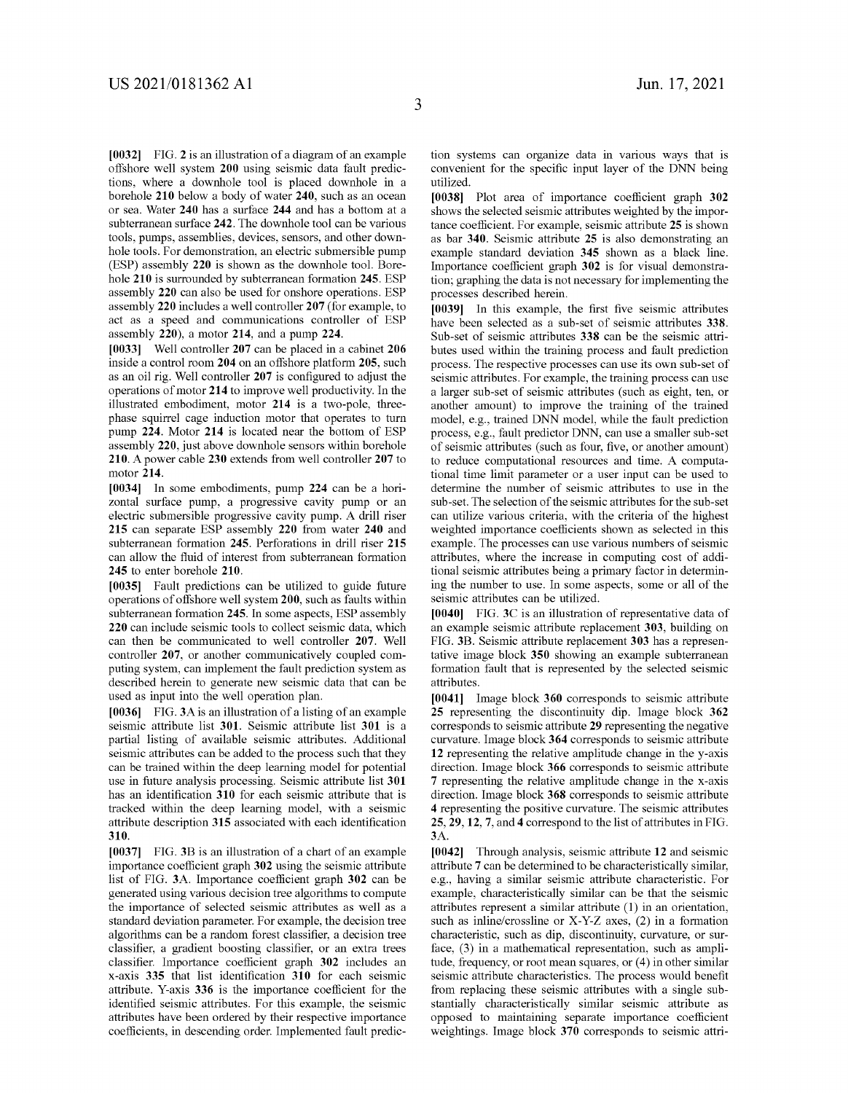[0032] FIG. 2 is an illustration of a diagram of an example offshore well system 200 using seismic data fault predictions, where a downhole tool is placed downhole in a borehole 210 below a body of water 240, such as an ocean or sea. Water 240 has a surface 244 and has a bottom at a subterranean surface 242. The downhole tool can be various tools, pumps, assemblies, devices, sensors, and other downhole tools. For demonstration, an electric submersible pump (ESP) assembly 220 is shown as the downhole tool. Borehole 210 is surrounded by subterranean formation 245. ESP assembly 220 can also be used for onshore operations. ESP assembly 220 includes a well controller 207 (for example, to act as a speed and communications controller of ESP assembly 220), a motor 214, and a pump 224.

[0033] Well controller 207 can be placed in a cabinet 206 inside a control room 204 on an offshore platform 205, such as an oil rig. Well controller 207 is configured to adjust the operations of motor 214 to improve well productivity. In the illustrated embodiment, motor 214 is a two-pole, threephase squirrel cage induction motor that operates to turn pump 224. Motor 214 is located near the bottom of ESP assembly 220, just above downhole sensors within borehole 210. A power cable 230 extends from well controller 207 to motor 214.

[0034] In some embodiments, pump 224 can be a horizontal surface pump, a progressive cavity pump or an electric submersible progressive cavity pump. A drill riser 215 can separate ESP assembly 220 from water 240 and subterranean formation 245. Perforations in drill riser 215 can allow the fluid of interest from subterranean formation 245 to enter borehole 210.

[0035] Fault predictions can be utilized to guide future operations of offshore well system 200, such as faults within subterranean formation 245. In some aspects, ESP assembly 220 can include seismic tools to collect seismic data, which can then be communicated to well controller 207. Well controller 207, or another communicatively coupled computing system, can implement the fault prediction system as described herein to generate new seismic data that can be used as input into the well operation plan.

[0036] FIG. 3A is an illustration of a listing of an example seismic attribute list 301. Seismic attribute list 301 is a partial listing of available seismic attributes. Additional seismic attributes can be added to the process such that they can be trained within the deep learning model for potential use in future analysis processing. Seismic attribute list 301 has an identification 310 for each seismic attribute that is tracked within the deep learning model, with a seismic attribute description 315 associated with each identification 310.

[0037] FIG. 3B is an illustration of a chart of an example importance coefficient graph 302 using the seismic attribute list of FIG. 3A. Importance coefficient graph 302 can be generated using various decision tree algorithms to compute the importance of selected seismic attributes as well as a standard deviation parameter. For example, the decision tree algorithms can be a random forest classifier, a decision tree classifier, a gradient boosting classifier, or an extra trees classifier. Importance coefficient graph 302 includes an x-axis 335 that list identification 310 for each seismic attribute. Y-axis 336 is the importance coefficient for the identified seismic attributes. For this example, the seismic attributes have been ordered by their respective importance coefficients, in descending order. Implemented fault prediction systems can organize data in various ways that is convenient for the specific input layer of the DNN being utilized.

[0038] Plot area of importance coeflicient graph 302 shows the selected seismic attributes weighted by the importance coefficient. For example, seismic attribute 25 is shown as bar 340. Seismic attribute 25 is also demonstrating an example standard deviation 345 shown as a black line. Importance coefficient graph 302 is for visual demonstration; graphing the data is not necessary for implementing the processes described herein.

[0039] In this example, the first five seismic attributes have been selected as a sub-set of seismic attributes 338. Sub-set of seismic attributes 338 can be the seismic attributes used within the training process and fault prediction process. The respective processes can use its own sub-set of seismic attributes. For example, the training process can use a larger sub-set of seismic attributes (such as eight, ten, or another amount) to improve the training of the trained model, e.g., trained DNN model, while the fault prediction process, e.g., fault predictor DNN, can use a smaller sub-set of seismic attributes (such as four, five, or another amount) to reduce computational resources and time. A computational time limit parameter or a user input can be used to determine the number of seismic attributes to use in the sub-set. The selection of the seismic attributes for the sub-set can utilize various criteria, with the criteria of the highest weighted importance coefficients shown as selected in this example. The processes can use various numbers of seismic attributes, where the increase in computing cost of additional seismic attributes being a primary factor in determining the number to use. In some aspects, some or all of the seismic attributes can be utilized.

[0040] FIG. 3C is an illustration of representative data of an example seismic attribute replacement 303, building on FIG. 3B. Seismic attribute replacement 303 has a representative image block 350 showing an example subterranean formation fault that is represented by the selected seismic attributes.

[0041] Image block 360 corresponds to seismic attribute 25 representing the discontinuity dip. Image block 362 corresponds to seismic attribute 29 representing the negative curvature. Image block 364 corresponds to seismic attribute 12 representing the relative amplitude change in the y-axis direction. Image block 366 corresponds to seismic attribute 7 representing the relative amplitude change in the x-axis direction. Image block 368 corresponds to seismic attribute 4 representing the positive curvature. The seismic attributes 25, 29, 12, 7, and 4 correspond to the list of attributes in FIG. 3A.

[0042] Through analysis, seismic attribute 12 and seismic attribute 7 can be determined to be characteristically similar, e.g., having a similar seismic attribute characteristic. For example, characteristically similar can be that the seismic attributes represent a similar attribute (1) in an orientation, such as inline/crossline or X-Y-Z axes, (2) in a formation characteristic, such as dip, discontinuity, curvature, or surface, (3) in a mathematical representation, such as amplitude, frequency, or root mean squares, or (4) in other similar seismic attribute characteristics. The process would benefit from replacing these seismic attributes with a single substantially characteristically similar seismic attribute as opposed to maintaining separate importance coeflicient weightings. Image block 370 corresponds to seismic attri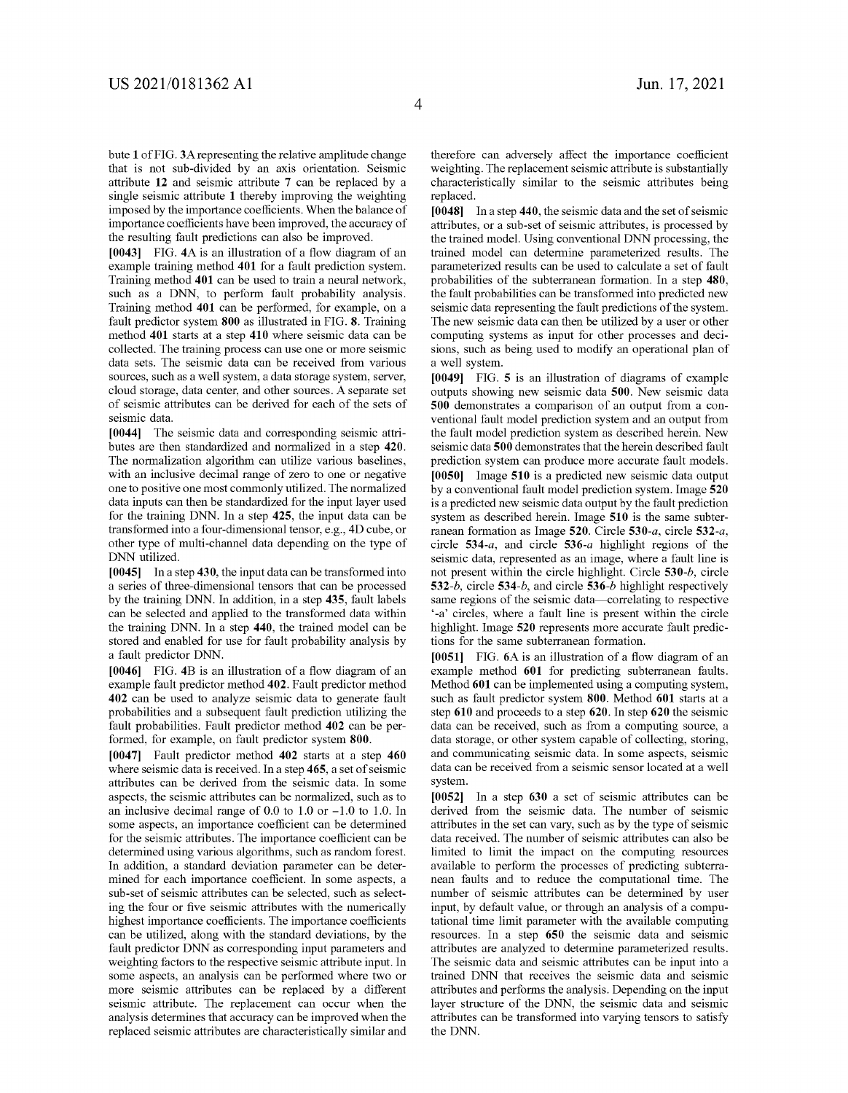bute 1 of FIG. 3A representing the relative amplitude change that is not sub-divided by an axis orientation. Seismic attribute 12 and seismic attribute 7 can be replaced by a single seismic attribute 1 thereby improving the weighting imposed by the importance coefficients. When the balance of importance coefficients have been improved, the accuracy of the resulting fault predictions can also be improved.

[0043] FIG. 4A is an illustration of a flow diagram of an example training method 401 for a fault prediction system. Training method 401 can be used to train a neural network, such as a DNN, to perform fault probability analysis. Training method 401 can be performed, for example, on a fault predictor system 800 as illustrated in FIG. 8. Training method 401 starts at a step 410 where seismic data can be collected. The training process can use one or more seismic data sets. The seismic data can be received from various sources, such as a well system, a data storage system, server, cloud storage, data center, and other sources. A separate set of seismic attributes can be derived for each of the sets of seismic data.

[0044] The seismic data and corresponding seismic attributes are then standardized and normalized in a step 420. The normalization algorithm can utilize various baselines, with an inclusive decimal range of zero to one or negative one to positive one most commonly utilized. The normalized data inputs can then be standardized for the input layer used for the training DNN. In a step 425, the input data can be transformed into a four-dimensional tensor, e.g., 4D cube, or other type of multi-channel data depending on the type of DNN utilized.

[0045] In a step 430, the input data can be transformed into a series of three-dimensional tensors that can be processed by the training DNN. In addition, in a step 435, fault labels can be selected and applied to the transformed data within the training DNN. In a step 440, the trained model can be stored and enabled for use for fault probability analysis by a fault predictor DNN.

[0046] FIG. 4B is an illustration of a flow diagram of an example fault predictor method 402. Fault predictor method 402 can be used to analyze seismic data to generate fault probabilities and a subsequent fault prediction utilizing the fault probabilities. Fault predictor method 402 can be performed, for example, on fault predictor system 800.

[0047] Fault predictor method 402 starts at a step 460 where seismic data is received. In a step 465, a set of seismic attributes can be derived from the seismic data. In some aspects, the seismic attributes can be normalized, such as to an inclusive decimal range of 0.0 to 1.0 or -1.0 to 1.0. In some aspects, an importance coeflicient can be determined for the seismic attributes. The importance coefficient can be determined using various algorithms, such as random forest. In addition, a standard deviation parameter can be determined for each importance coefficient. In some aspects, a sub-set of seismic attributes can be selected, such as selecting the four or five seismic attributes with the numerically highest importance coefficients. The importance coefficients can be utilized, along with the standard deviations, by the fault predictor DNN as corresponding input parameters and weighting factors to the respective seismic attribute input. In some aspects, an analysis can be performed where two or more seismic attributes can be replaced by a different seismic attribute. The replacement can occur when the analysis determines that accuracy can be improved when the replaced seismic attributes are characteristically similar and therefore can adversely affect the importance coefficient weighting. The replacement seismic attribute is substantially characteristically similar to the seismic attributes being replaced.

[0048] In a step 440, the seismic data and the set of seismic attributes, or a sub-set of seismic attributes, is processed by the trained model. Using conventional DNN processing, the trained model can determine parameterized results. The parameterized results can be used to calculate a set of fault probabilities of the subterranean formation. In a step 480, the fault probabilities can be transformed into predicted new seismic data representing the fault predictions of the system. The new seismic data can then be utilized by a user or other computing systems as input for other processes and decisions, such as being used to modify an operational plan of a well system.

[0049] FIG. 5 is an illustration of diagrams of example outputs showing new seismic data 500. New seismic data 500 demonstrates a comparison of an output from a conventional fault model prediction system and an output from the fault model prediction system as described herein. New seismic data 500 demonstrates that the herein described fault prediction system can produce more accurate fault models. [0050] Image 510 is a predicted new seismic data output by aconventional fault model prediction system. Image 520 is a predicted new seismic data output by the fault prediction system as described herein. Image 510 is the same subterranean formation as Image 520. Circle 530-a, circle 532-a, circle 534-a, and circle 536-a highlight regions of the seismic data, represented as an image, where a fault line is not present within the circle highlight. Circle 530-b, circle 532-b, circle 534-6, and circle 536-5 highlight respectively same regions of the seismic data—correlating to respective '-a' circles, where a fault line is present within the circle highlight. Image 520 represents more accurate fault predictions for the same subterranean formation.

[0051] FIG. 6A is an illustration of a flow diagram of an example method 601 for predicting subterranean faults. Method 601 can be implemented using a computing system, such as fault predictor system 800. Method 601 starts at a step 610 and proceeds to a step 620. In step 620 the seismic data can be received, such as from a computing source, a data storage, or other system capable of collecting, storing, and communicating seismic data. In some aspects, seismic data can be received from a seismic sensor located at a well system.

[0052] In a step 630 a set of seismic attributes can be derived from the seismic data. The number of seismic attributes in the set can vary, such as by the type of seismic data received. The number of seismic attributes can also be limited to limit the impact on the computing resources available to perform the processes of predicting subterranean faults and to reduce the computational time. The number of seismic attributes can be determined by user input, by default value, or through an analysis of a computational time limit parameter with the available computing resources. In a step 650 the seismic data and seismic attributes are analyzed to determine parameterized results. The seismic data and seismic attributes can be input into a trained DNN that receives the seismic data and seismic attributes and performs the analysis. Depending on the input layer structure of the DNN, the seismic data and seismic attributes can be transformed into varying tensors to satisfy the DNN.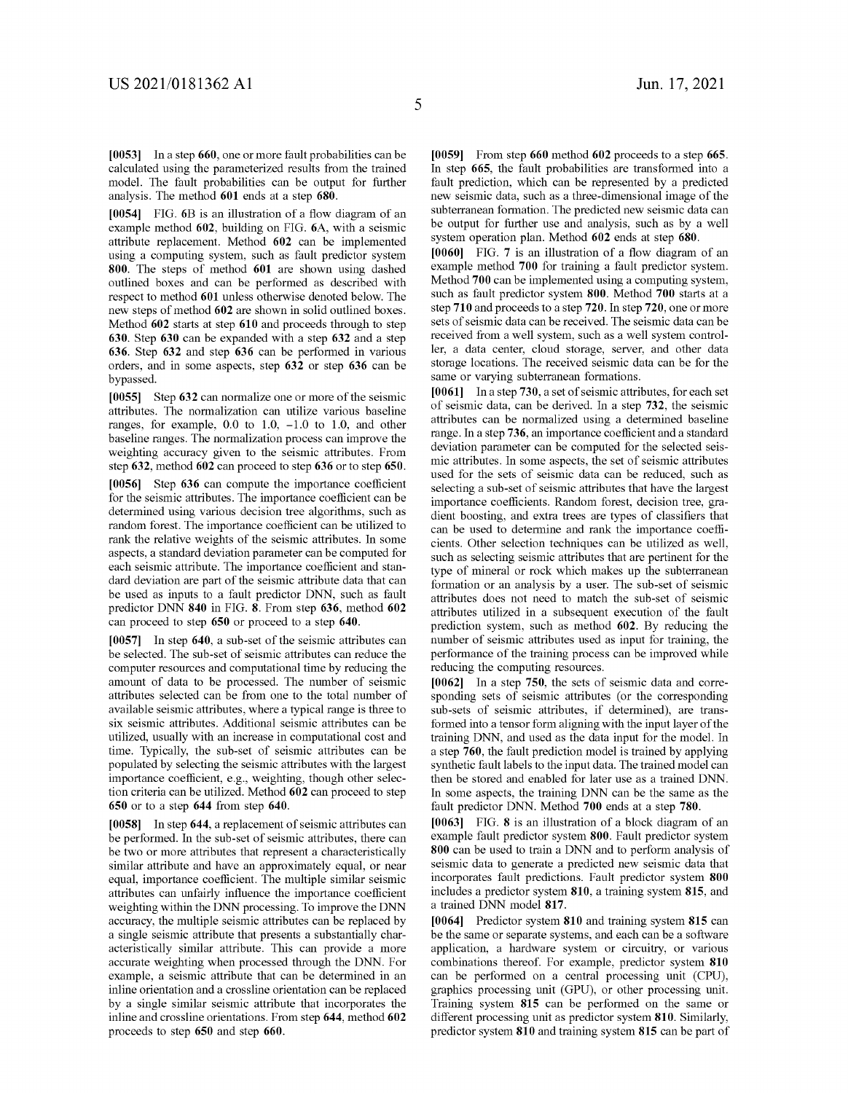[0053] Ina step 660, one or more fault probabilities can be calculated using the parameterized results from the trained model. The fault probabilities can be output for further analysis. The method 601 ends at a step 680.

[0054] FIG. 6B is an illustration of a flow diagram of an example method 602, building on FIG. 6A, with a seismic attribute replacement. Method 602 can be implemented using a computing system, such as fault predictor system 800. The steps of method 601 are shown using dashed outlined boxes and can be performed as described with respect to method 601 unless otherwise denoted below. The new steps of method 602 are shown in solid outlined boxes. Method 602 starts at step 610 and proceeds through to step 630. Step 630 can be expanded with a step 632 and a step 636. Step 632 and step 636 can be performed in various orders, and in some aspects, step 632 or step 636 can be bypassed.

[0055] Step 632 can normalize one or more of the seismic attributes. The normalization can utilize various baseline ranges, for example, 0.0 to 1.0, -1.0 to 1.0, and other baseline ranges. The normalization process can improve the weighting accuracy given to the seismic attributes. From step 632, method 602 can proceed to step 636 or to step 650.

[0056] Step 636 can compute the importance coefficient for the seismic attributes. The importance coefficient can be determined using various decision tree algorithms, such as random forest. The importance coefficient can be utilized to rank the relative weights of the seismic attributes. In some aspects, a standard deviation parameter can be computed for each seismic attribute. The importance coefficient and standard deviation are part of the seismic attribute data that can be used as inputs to a fault predictor DNN, such as fault predictor DNN 840 in FIG. 8. From step 636, method 602 can proceed to step 650 or proceed to a step 640.

[0057] In step 640, a sub-set of the seismic attributes can be selected. The sub-set of seismic attributes can reduce the computer resources and computational time by reducing the amount of data to be processed. The number of seismic attributes selected can be from one to the total number of available seismic attributes, where a typical range is three to six seismic attributes. Additional seismic attributes can be utilized, usually with an increase in computational cost and time. Typically, the sub-set of seismic attributes can be populated by selecting the seismic attributes with the largest importance coefficient, e.g., weighting, though other selection criteria can be utilized. Method 602 can proceed to step 650 or to a step 644 from step 640.

[0058] In step 644, a replacement of seismic attributes can be performed. In the sub-set of seismic attributes, there can be two or more attributes that represent a characteristically similar attribute and have an approximately equal, or near equal, importance coefficient. The multiple similar seismic attributes can unfairly influence the importance coeflicient weighting within the DNN processing. To improve the DNN accuracy, the multiple seismic attributes can be replaced by a single seismic attribute that presents a substantially characteristically similar attribute. This can provide a more accurate weighting when processed through the DNN. For example, a seismic attribute that can be determined in an inline orientation and a crossline orientation can be replaced by a single similar seismic attribute that incorporates the inline and crossline orientations. From step 644, method 602 proceeds to step 650 and step 660.

[0059] From step 660 method 602 proceeds to a step 665. In step 665, the fault probabilities are transformed into a fault prediction, which can be represented by a predicted new seismic data, such as a three-dimensional image of the subterranean formation. The predicted new seismic data can be output for further use and analysis, such as by a well system operation plan. Method 602 ends at step 680.

[0060] FIG. 7 is an illustration of a flow diagram of an example method 700 for training a fault predictor system. Method 700 can be implemented using a computing system, such as fault predictor system 800. Method 700 starts at a step 710 and proceeds to a step 720. In step 720, one or more sets of seismic data can be received. The seismic data can be received from a well system, such as a well system controller, a data center, cloud storage, server, and other data storage locations. The received seismic data can be for the same or varying subterranean formations.

[0061] In a step 730, a set of seismic attributes, for each set of seismic data, can be derived. In a step 732, the seismic attributes can be normalized using a determined baseline range. In a step 736, an importance coefficient and a standard deviation parameter can be computed for the selected seismic attributes. In some aspects, the set of seismic attributes used for the sets of seismic data can be reduced, such as selecting a sub-set of seismic attributes that have the largest importance coefficients. Random forest, decision tree, gradient boosting, and extra trees are types of classifiers that can be used to determine and rank the importance coefficients. Other selection techniques can be utilized as well, such as selecting seismic attributes that are pertinent for the type of mineral or rock which makes up the subterranean formation or an analysis by a user. The sub-set of seismic attributes does not need to match the sub-set of seismic attributes utilized in a subsequent execution of the fault prediction system, such as method 602. By reducing the number of seismic attributes used as input for training, the performance of the training process can be improved while reducing the computing resources.

[0062] In a step 750, the sets of seismic data and corresponding sets of seismic attributes (or the corresponding sub-sets of seismic attributes, if determined), are transformed into a tensor form aligning with the input layer of the training DNN, and used as the data input for the model. In a step 760, the fault prediction model is trained by applying synthetic fault labels to the input data. The trained model can then be stored and enabled for later use as a trained DNN. In some aspects, the training DNN can be the same as the fault predictor DNN. Method 700 ends at a step 780.

[0063] FIG. 8 is an illustration of a block diagram of an example fault predictor system 800. Fault predictor system 800 can be used to train a DNN and to perform analysis of seismic data to generate a predicted new seismic data that incorporates fault predictions. Fault predictor system 800 includes a predictor system 810, a training system 815, and a trained DNN model 817.

[0064] Predictor system 810 and training system 815 can be the same or separate systems, and each can be a software application, a hardware system or circuitry, or various combinations thereof. For example, predictor system 810 can be performed on a central processing unit (CPU), graphics processing unit (GPU), or other processing unit. Training system 815 can be performed on the same or different processing unit as predictor system 810. Similarly, predictor system 810 and training system 815 can be part of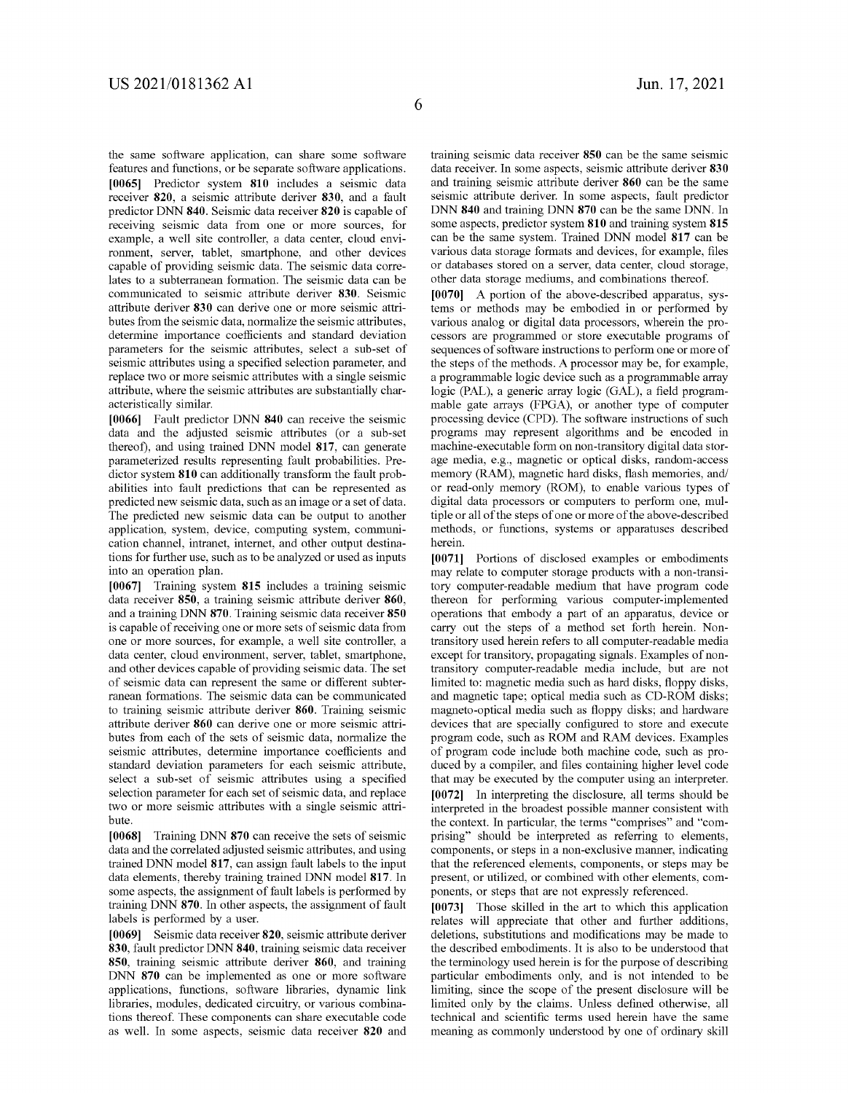the same software application, can share some software features and functions, or be separate software applications. [0065] Predictor system 810 includes a seismic data receiver 820, a seismic attribute deriver 830, and a fault predictor DNN 840. Seismic data receiver 820 is capable of receiving seismic data from one or more sources, for example, a well site controller, a data center, cloud environment, server, tablet, smartphone, and other devices capable of providing seismic data. The seismic data correlates to a subterranean formation. The seismic data can be communicated to seismic attribute deriver 830. Seismic attribute deriver 830 can derive one or more seismic attributes from the seismic data, normalize the seismic attributes, determine importance coefficients and standard deviation parameters for the seismic attributes, select a sub-set of seismic attributes using a specified selection parameter, and replace two or more seismic attributes with a single seismic attribute, where the seismic attributes are substantially characteristically similar.

[0066] Fault predictor DNN 840 can receive the seismic data and the adjusted seismic attributes (or a sub-set thereof), and using trained DNN model 817, can generate parameterized results representing fault probabilities. Predictor system 810 can additionally transform the fault probabilities into fault predictions that can be represented as predicted new seismic data, such as an image or a set of data. The predicted new seismic data can be output to another application, system, device, computing system, communication channel, intranet, internet, and other output destinations for further use, such as to be analyzed or used as inputs into an operation plan.

[0067] Training system 815 includes a training seismic data receiver 850, a training seismic attribute deriver 860, and a training DNN 870. Training seismic data receiver 850 is capable of receiving one or more sets of seismic data from one or more sources, for example, a well site controller, a data center, cloud environment, server, tablet, smartphone, and other devices capable of providing seismic data. The set of seismic data can represent the same or different subterranean formations. The seismic data can be communicated to training seismic attribute deriver 860. Training seismic attribute deriver 860 can derive one or more seismic attributes from each of the sets of seismic data, normalize the seismic attributes, determine importance coefficients and standard deviation parameters for each seismic attribute, select a sub-set of seismic attributes using a specified selection parameter for each set of seismic data, and replace two or more seismic attributes with a single seismic attribute.

[0068] Training DNN 870 can receive the sets of seismic data and the correlated adjusted seismic attributes, and using trained DNN model 817, can assign fault labels to the input data elements, thereby training trained DNN model 817. In some aspects, the assignment of fault labels is performed by training DNN 870. In other aspects, the assignment of fault labels is performed by a user.

[0069] Seismic data receiver 820, seismic attribute deriver \$30, fault predictor DNN 840, training seismic data receiver 850, training seismic attribute deriver 860, and training DNN 870 can be implemented as one or more software applications, functions, software libraries, dynamic link libraries, modules, dedicated circuitry, or various combinations thereof. These components can share executable code as well. In some aspects, seismic data receiver 820 and training seismic data receiver 850 can be the same seismic data receiver. In some aspects, seismic attribute deriver 830 and training seismic attribute deriver 860 can be the same seismic attribute deriver. In some aspects, fault predictor DNN 840 and training DNN 870 can be the same DNN. In some aspects, predictor system 810 and training system 815 can be the same system. Trained DNN model 817 can be various data storage formats and devices, for example, files or databases stored on a server, data center, cloud storage, other data storage mediums, and combinations thereof.

[0070] A portion of the above-described apparatus, systems or methods may be embodied in or performed by various analog or digital data processors, wherein the processors are programmed or store executable programs of sequences of software instructions to perform one or more of the steps of the methods. A processor may be, for example, a programmable logic device such as a programmable array logic (PAL), a generic array logic (GAL), a field programmable gate arrays (FPGA), or another type of computer processing device (CPD). The software instructions of such programs may represent algorithms and be encoded in machine-executable form on non-transitory digital data storage media, e.g., magnetic or optical disks, random-access memory (RAM), magnetic hard disks, flash memories, and/ or read-only memory (ROM), to enable various types of digital data processors or computers to perform one, multiple or all of the steps of one or more of the above-described methods, or functions, systems or apparatuses described herein.

[0071] Portions of disclosed examples or embodiments may relate to computer storage products with a non-transitory computer-readable medium that have program code thereon for performing various computer-implemented operations that embody a part of an apparatus, device or carry out the steps of a method set forth herein. Nontransitory used herein refers to all computer-readable media except for transitory, propagating signals. Examples of nontransitory computer-readable media include, but are not limited to: magnetic media such as hard disks, floppy disks, and magnetic tape; optical media such as CD-ROM disks; magneto-optical media such as floppy disks; and hardware devices that are specially configured to store and execute program code, such as ROM and RAM devices. Examples of program code include both machine code, such as produced by a compiler, and files containing higher level code that may be executed by the computer using an interpreter. [0072] In interpreting the disclosure, all terms should be interpreted in the broadest possible manner consistent with the context. In particular, the terms "comprises" and "comprising" should be interpreted as referring to elements, components, or steps in a non-exclusive manner, indicating that the referenced elements, components, or steps may be present, or utilized, or combined with other elements, components, or steps that are not expressly referenced.

[0073] Those skilled in the art to which this application relates will appreciate that other and further additions, deletions, substitutions and modifications may be made to the described embodiments. It is also to be understood that the terminology used herein is for the purpose of describing particular embodiments only, and is not intended to be limiting, since the scope of the present disclosure will be limited only by the claims. Unless defined otherwise, all technical and scientific terms used herein have the same meaning as commonly understood by one of ordinary skill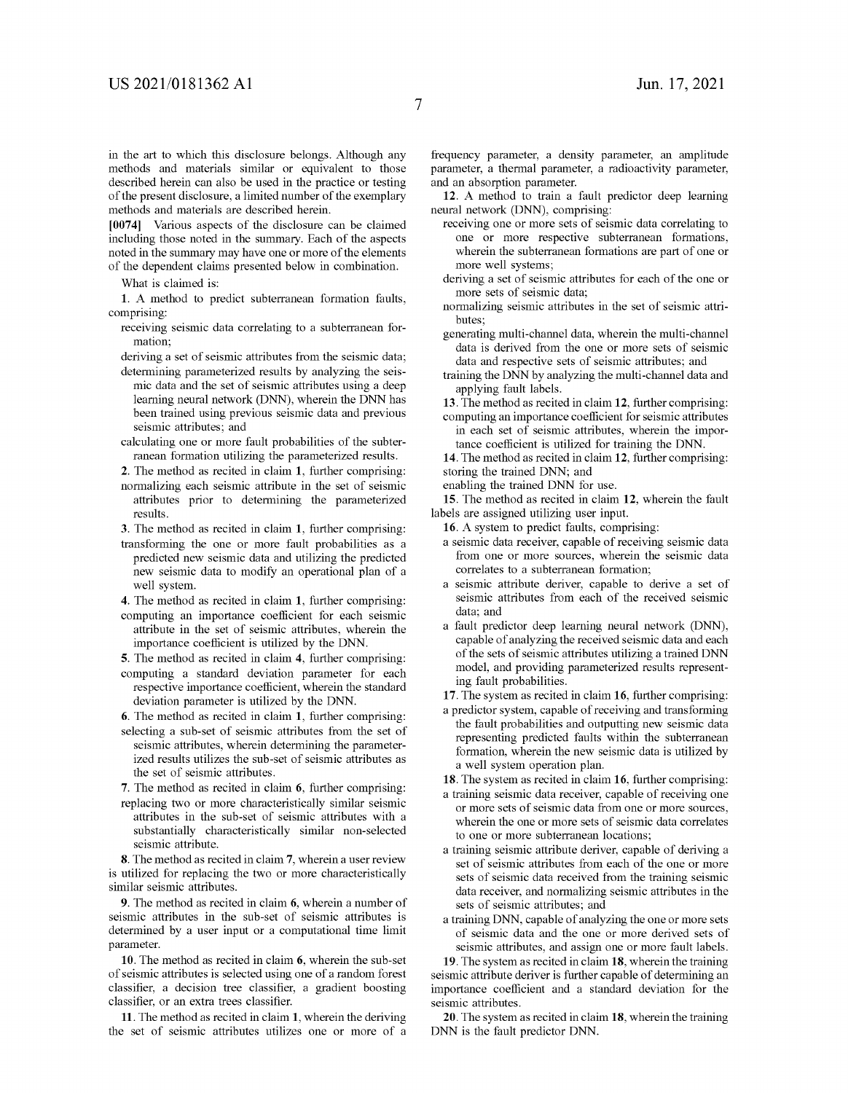in the art to which this disclosure belongs. Although any methods and materials similar or equivalent to those described herein can also be used in the practice or testing of the present disclosure, a limited number of the exemplary methods and materials are described herein.

[0074] Various aspects of the disclosure can be claimed including those noted in the summary. Each of the aspects noted in the summary may have one or more of the elements of the dependent claims presented below in combination.

What is claimed is:

1. A method to predict subterranean formation faults, comprising:

- receiving seismic data correlating to a subterranean formation;
- deriving a set of seismic attributes from the seismic data; determining parameterized results by analyzing the seis-
- mic data and the set of seismic attributes using a deep learning neural network (DNN), wherein the DNN has been trained using previous seismic data and previous seismic attributes; and
- calculating one or more fault probabilities of the subterranean formation utilizing the parameterized results.
- 2. The method as recited in claim 1, further comprising: normalizing each seismic attribute in the set of seismic attributes prior to determining the parameterized results.
- 3. The method as recited in claim 1, further comprising:
- transforming the one or more fault probabilities as a predicted new seismic data and utilizing the predicted new seismic data to modify an operational plan of a well system.
- 4. The method as recited in claim 1, further comprising: computing an importance coefficient for each seismic attribute in the set of seismic attributes, wherein the importance coefficient is utilized by the DNN.
- 5. The method as recited in claim 4, further comprising: computing a standard deviation parameter for each respective importance coefficient, wherein the standard deviation parameter is utilized by the DNN.

6. The method as recited in claim 1, further comprising:

- selecting a sub-set of seismic attributes from the set of seismic attributes, wherein determining the parameterized results utilizes the sub-set of seismic attributes as the set of seismic attributes.
- 7. The method as recited in claim 6, further comprising:
- replacing two or more characteristically similar seismic attributes in the sub-set of seismic attributes with a substantially characteristically similar non-selected seismic attribute.

8. The method as recited in claim 7, wherein a user review is utilized for replacing the two or more characteristically similar seismic attributes.

9. The method as recited in claim 6, wherein a number of seismic attributes in the sub-set of seismic attributes is determined by a user input or a computational time limit parameter.

10. The method as recited in claim 6, wherein the sub-set of seismic attributes is selected using one of a random forest classifier, a decision tree classifier, a gradient boosting classifier, or an extra trees classifier.

11. The method as recited in claim 1, wherein the deriving the set of seismic attributes utilizes one or more of a frequency parameter, a density parameter, an amplitude parameter, a thermal parameter, a radioactivity parameter, and an absorption parameter.

12. A method to train a fault predictor deep learning neural network (DNN), comprising:

- receiving one or more sets of seismic data correlating to one or more respective subterranean formations, wherein the subterranean formations are part of one or more well systems;
- deriving a set of seismic attributes for each of the one or more sets of seismic data;
- normalizing seismic attributes in the set of seismic attributes;
- generating multi-channel data, wherein the multi-channel data is derived from the one or more sets of seismic data and respective sets of seismic attributes; and
- training the DNN by analyzing the multi-channel data and applying fault labels.

13. The method as recited in claim 12, further comprising:

computing an importance coefficient for seismic attributes in each set of seismic attributes, wherein the importance coefficient is utilized for training the DNN.

14. The method as recited in claim 12, further comprising: storing the trained DNN; and

enabling the trained DNN for use.

15. The method as recited in claim 12, wherein the fault labels are assigned utilizing user input.

16. A system to predict faults, comprising:

- a seismic data receiver, capable of receiving seismic data from one or more sources, wherein the seismic data correlates to a subterranean formation;
- a seismic attribute deriver, capable to derive a set of seismic attributes from each of the received seismic data; and
- a fault predictor deep learning neural network (DNN), capable of analyzing the received seismic data and each of the sets of seismic attributes utilizing a trained DNN model, and providing parameterized results representing fault probabilities.

17. The system as recited in claim 16, further comprising:

a predictor system, capable of receiving and transforming the fault probabilities and outputting new seismic data representing predicted faults within the subterranean formation, wherein the new seismic data is utilized by a well system operation plan.

18. The system as recited in claim 16, further comprising:

- a training seismic data receiver, capable of receiving one or more sets of seismic data from one or more sources, wherein the one or more sets of seismic data correlates to one or more subterranean locations;
- a training seismic attribute deriver, capable of deriving a set of seismic attributes from each of the one or more sets of seismic data received from the training seismic data receiver, and normalizing seismic attributes in the sets of seismic attributes; and
- a training DNN, capable of analyzing the one or more sets of seismic data and the one or more derived sets of seismic attributes, and assign one or more fault labels.

19. The system as recited in claim 18, wherein the training seismic attribute deriver is further capable of determining an importance coefficient and a standard deviation for the seismic attributes.

20. The system as recited in claim 18, wherein the training DNN is the fault predictor DNN.